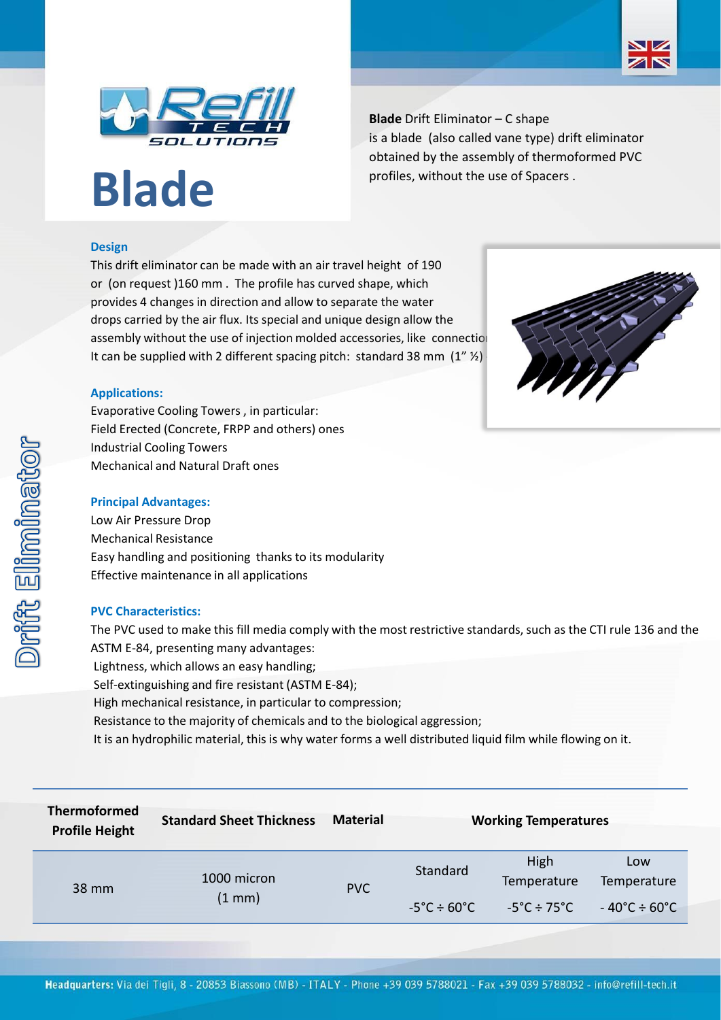



# **Blade**

**Blade** Drift Eliminator – C shape is a blade (also called vane type) drift eliminator obtained by the assembly of thermoformed PVC profiles, without the use of Spacers .

## **Design**

This drift eliminator can be made with an air travel height of 190 or (on request )160 mm . The profile has curved shape, which provides 4 changes in direction and allow to separate the water drops carried by the air flux. Its special and unique design allow the assembly without the use of injection molded accessories, like connection It can be supplied with 2 different spacing pitch: standard 38 mm  $(1''$  %)



Evaporative Cooling Towers , in particular: Field Erected (Concrete, FRPP and others) ones Industrial Cooling Towers Mechanical and Natural Draft ones

#### **Principal Advantages:**

Low Air Pressure Drop Mechanical Resistance Easy handling and positioning thanks to its modularity Effective maintenance in all applications

#### **PVC Characteristics:**

The PVC used to make this fill media comply with the most restrictive standards, such as the CTI rule 136 and the ASTM E-84, presenting many advantages:

- Lightness, which allows an easy handling;
- Self-extinguishing and fire resistant (ASTM E-84);
- High mechanical resistance, in particular to compression;
- Resistance to the majority of chemicals and to the biological aggression;
- It is an hydrophilic material, this is why water forms a well distributed liquid film while flowing on it.

| <b>Thermoformed</b><br><b>Profile Height</b> | <b>Standard Sheet Thickness</b> | <b>Material</b> | <b>Working Temperatures</b>  |                                  |                                   |
|----------------------------------------------|---------------------------------|-----------------|------------------------------|----------------------------------|-----------------------------------|
| 38 mm                                        | 1000 micron<br>$(1 \text{ mm})$ | <b>PVC</b>      | Standard                     | High<br>Temperature              | Low<br>Temperature                |
|                                              |                                 |                 | $-5^{\circ}$ C $\div$ 60°C l | $-5^{\circ}$ C ÷ 75 $^{\circ}$ C | $-40^{\circ}$ C ÷ 60 $^{\circ}$ C |